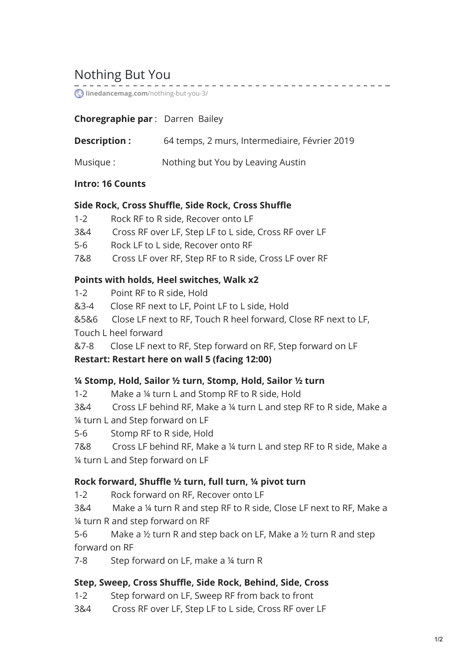# Nothing But You

**[linedancemag.com](https://www.linedancemag.com/nothing-but-you-3/)**/nothing-but-you-3/

### **Choregraphie par** : Darren Bailey

**Description :** 64 temps, 2 murs, Intermediaire, Février 2019

Musique : Nothing but You by Leaving Austin

#### **Intro: 16 Counts**

#### **Side Rock, Cross Shuffle, Side Rock, Cross Shuffle**

- 1-2 Rock RF to R side, Recover onto LF
- 3&4 Cross RF over LF, Step LF to L side, Cross RF over LF
- 5-6 Rock LF to L side, Recover onto RF
- 7&8 Cross LF over RF, Step RF to R side, Cross LF over RF

#### **Points with holds, Heel switches, Walk x2**

- 1-2 Point RF to R side, Hold
- &3-4 Close RF next to LF, Point LF to L side, Hold
- &5&6 Close LF next to RF, Touch R heel forward, Close RF next to LF,

Touch L heel forward

&7-8 Close LF next to RF, Step forward on RF, Step forward on LF

#### **Restart: Restart here on wall 5 (facing 12:00)**

#### **¼ Stomp, Hold, Sailor ½ turn, Stomp, Hold, Sailor ½ turn**

1-2 Make a ¼ turn L and Stomp RF to R side, Hold

3&4 Cross LF behind RF, Make a ¼ turn L and step RF to R side, Make a ¼ turn L and Step forward on LF

5-6 Stomp RF to R side, Hold

7&8 Cross LF behind RF, Make a ¼ turn L and step RF to R side, Make a ¼ turn L and Step forward on LF

#### **Rock forward, Shuffle ½ turn, full turn, ¼ pivot turn**

1-2 Rock forward on RF, Recover onto LF

3&4 Make a ¼ turn R and step RF to R side, Close LF next to RF, Make a ¼ turn R and step forward on RF

5-6 Make a ½ turn R and step back on LF, Make a ½ turn R and step forward on RF

7-8 Step forward on LF, make a ¼ turn R

#### **Step, Sweep, Cross Shuffle, Side Rock, Behind, Side, Cross**

- 1-2 Step forward on LF, Sweep RF from back to front
- 3&4 Cross RF over LF, Step LF to L side, Cross RF over LF